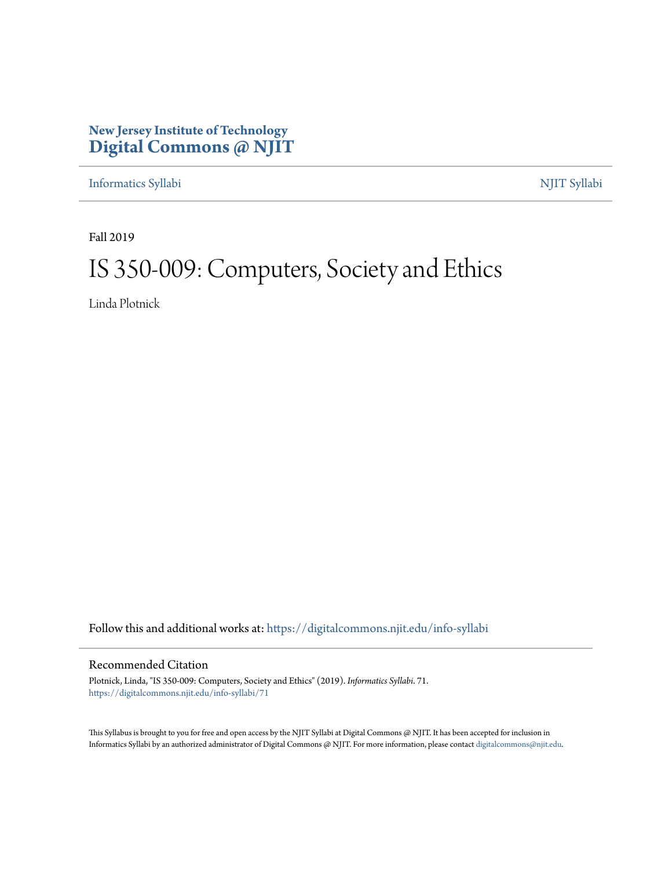# **New Jersey Institute of Technology [Digital Commons @ NJIT](https://digitalcommons.njit.edu/?utm_source=digitalcommons.njit.edu%2Finfo-syllabi%2F71&utm_medium=PDF&utm_campaign=PDFCoverPages)**

[Informatics Syllabi](https://digitalcommons.njit.edu/info-syllabi?utm_source=digitalcommons.njit.edu%2Finfo-syllabi%2F71&utm_medium=PDF&utm_campaign=PDFCoverPages) [NJIT Syllabi](https://digitalcommons.njit.edu/syllabi?utm_source=digitalcommons.njit.edu%2Finfo-syllabi%2F71&utm_medium=PDF&utm_campaign=PDFCoverPages)

Fall 2019

# IS 350-009: Computers, Society and Ethics

Linda Plotnick

Follow this and additional works at: [https://digitalcommons.njit.edu/info-syllabi](https://digitalcommons.njit.edu/info-syllabi?utm_source=digitalcommons.njit.edu%2Finfo-syllabi%2F71&utm_medium=PDF&utm_campaign=PDFCoverPages)

#### Recommended Citation

Plotnick, Linda, "IS 350-009: Computers, Society and Ethics" (2019). *Informatics Syllabi*. 71. [https://digitalcommons.njit.edu/info-syllabi/71](https://digitalcommons.njit.edu/info-syllabi/71?utm_source=digitalcommons.njit.edu%2Finfo-syllabi%2F71&utm_medium=PDF&utm_campaign=PDFCoverPages)

This Syllabus is brought to you for free and open access by the NJIT Syllabi at Digital Commons @ NJIT. It has been accepted for inclusion in Informatics Syllabi by an authorized administrator of Digital Commons @ NJIT. For more information, please contact [digitalcommons@njit.edu.](mailto:digitalcommons@njit.edu)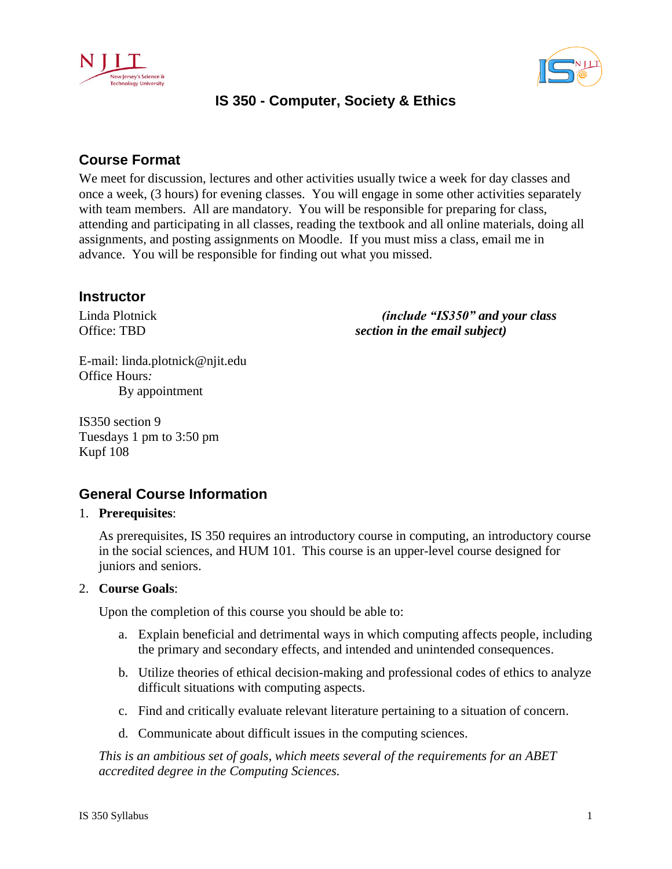



# **IS 350 - Computer, Society & Ethics**

# **Course Format**

We meet for discussion, lectures and other activities usually twice a week for day classes and once a week, (3 hours) for evening classes. You will engage in some other activities separately with team members. All are mandatory. You will be responsible for preparing for class, attending and participating in all classes, reading the textbook and all online materials, doing all assignments, and posting assignments on Moodle. If you must miss a class, email me in advance. You will be responsible for finding out what you missed.

### **Instructor**

Linda Plotnick Office: TBD

 *(include "IS350" and your class section in the email subject)* 

E-mail: linda.plotnick@njit.edu Office Hours*:* By appointment

IS350 section 9 Tuesdays 1 pm to 3:50 pm Kupf 108

# **General Course Information**

#### 1. **Prerequisites**:

As prerequisites, IS 350 requires an introductory course in computing, an introductory course in the social sciences, and HUM 101. This course is an upper-level course designed for juniors and seniors.

#### 2. **Course Goals**:

Upon the completion of this course you should be able to:

- a. Explain beneficial and detrimental ways in which computing affects people, including the primary and secondary effects, and intended and unintended consequences.
- b. Utilize theories of ethical decision-making and professional codes of ethics to analyze difficult situations with computing aspects.
- c. Find and critically evaluate relevant literature pertaining to a situation of concern.
- d. Communicate about difficult issues in the computing sciences.

*This is an ambitious set of goals, which meets several of the requirements for an ABET accredited degree in the Computing Sciences.*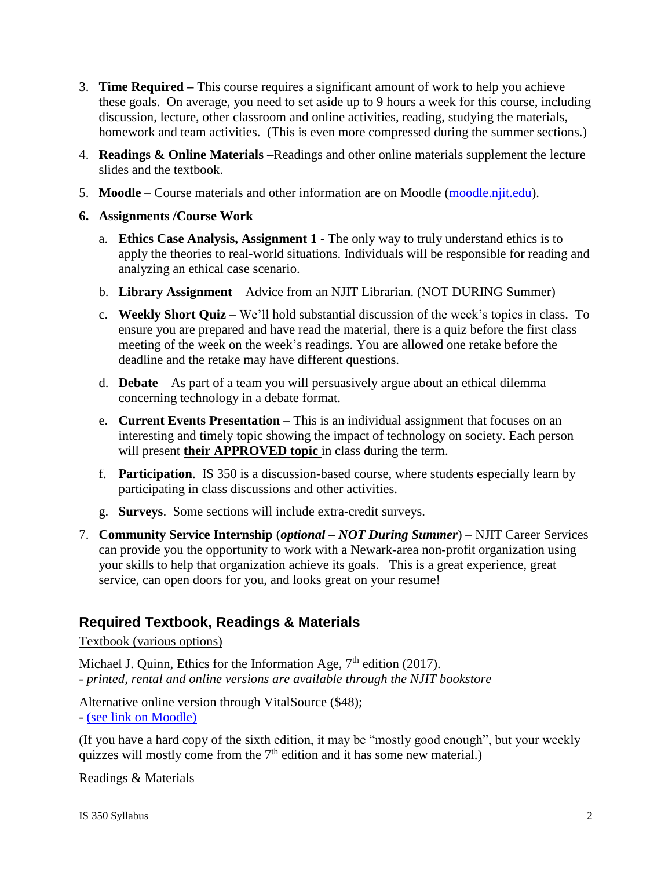- 3. **Time Required –** This course requires a significant amount of work to help you achieve these goals. On average, you need to set aside up to 9 hours a week for this course, including discussion, lecture, other classroom and online activities, reading, studying the materials, homework and team activities. (This is even more compressed during the summer sections.)
- 4. **Readings & Online Materials –**Readings and other online materials supplement the lecture slides and the textbook.
- 5. **Moodle** Course materials and other information are on Moodle [\(moodle.njit.edu\)](http://moodle.njit.edu/).
- **6. Assignments /Course Work**
	- a. **Ethics Case Analysis, Assignment 1** The only way to truly understand ethics is to apply the theories to real-world situations. Individuals will be responsible for reading and analyzing an ethical case scenario.
	- b. **Library Assignment** Advice from an NJIT Librarian. (NOT DURING Summer)
	- c. **Weekly Short Quiz** We'll hold substantial discussion of the week's topics in class. To ensure you are prepared and have read the material, there is a quiz before the first class meeting of the week on the week's readings. You are allowed one retake before the deadline and the retake may have different questions.
	- d. **Debate** As part of a team you will persuasively argue about an ethical dilemma concerning technology in a debate format.
	- e. **Current Events Presentation** This is an individual assignment that focuses on an interesting and timely topic showing the impact of technology on society. Each person will present **their APPROVED topic** in class during the term.
	- f. **Participation**. IS 350 is a discussion-based course, where students especially learn by participating in class discussions and other activities.
	- g. **Surveys**. Some sections will include extra-credit surveys.
- 7. **Community Service Internship** (*optional – NOT During Summer*) NJIT Career Services can provide you the opportunity to work with a Newark-area non-profit organization using your skills to help that organization achieve its goals. This is a great experience, great service, can open doors for you, and looks great on your resume!

## **Required Textbook, Readings & Materials**

#### Textbook (various options)

Michael J. Quinn, Ethics for the Information Age, 7<sup>th</sup> edition (2017). *- printed, rental and online versions are available through the NJIT bookstore*

Alternative online version through VitalSource (\$48);

- [\(see link on Moodle\)](https://www.vitalsource.com/products/ethics-for-the-information-age-michael-j-quinn-v9780134296623)

(If you have a hard copy of the sixth edition, it may be "mostly good enough", but your weekly quizzes will mostly come from the  $7<sup>th</sup>$  edition and it has some new material.)

Readings & Materials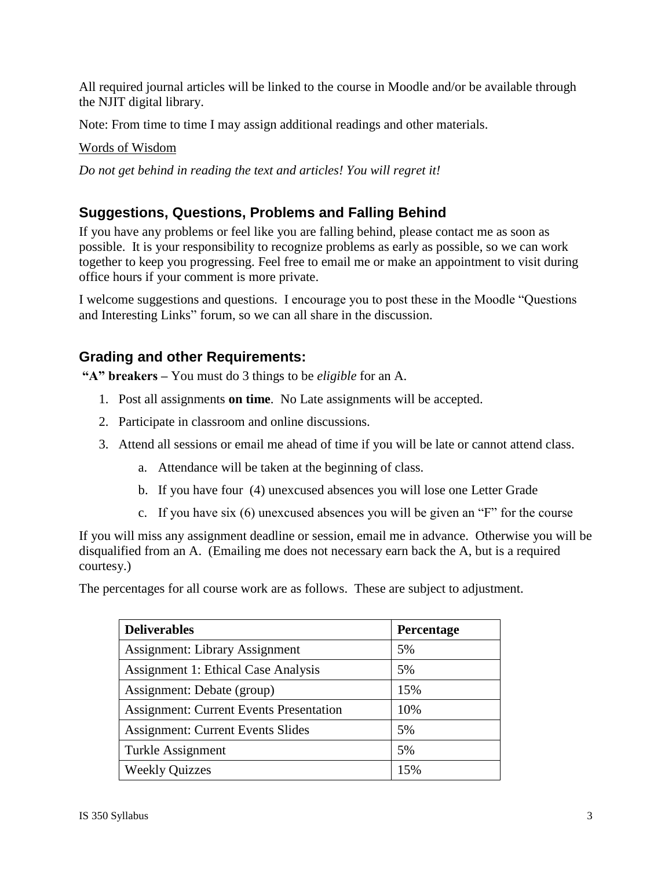All required journal articles will be linked to the course in Moodle and/or be available through the NJIT digital library.

Note: From time to time I may assign additional readings and other materials.

#### Words of Wisdom

*Do not get behind in reading the text and articles! You will regret it!*

# **Suggestions, Questions, Problems and Falling Behind**

If you have any problems or feel like you are falling behind, please contact me as soon as possible. It is your responsibility to recognize problems as early as possible, so we can work together to keep you progressing. Feel free to email me or make an appointment to visit during office hours if your comment is more private.

I welcome suggestions and questions. I encourage you to post these in the Moodle "Questions and Interesting Links" forum, so we can all share in the discussion.

## **Grading and other Requirements:**

**"A" breakers –** You must do 3 things to be *eligible* for an A.

- 1. Post all assignments **on time**. No Late assignments will be accepted.
- 2. Participate in classroom and online discussions.
- 3. Attend all sessions or email me ahead of time if you will be late or cannot attend class.
	- a. Attendance will be taken at the beginning of class.
	- b. If you have four (4) unexcused absences you will lose one Letter Grade
	- c. If you have six (6) unexcused absences you will be given an "F" for the course

If you will miss any assignment deadline or session, email me in advance. Otherwise you will be disqualified from an A. (Emailing me does not necessary earn back the A, but is a required courtesy.)

The percentages for all course work are as follows. These are subject to adjustment.

| <b>Deliverables</b>                            | Percentage |
|------------------------------------------------|------------|
| <b>Assignment: Library Assignment</b>          | 5%         |
| <b>Assignment 1: Ethical Case Analysis</b>     | 5%         |
| Assignment: Debate (group)                     | 15%        |
| <b>Assignment: Current Events Presentation</b> | 10%        |
| <b>Assignment: Current Events Slides</b>       | 5%         |
| Turkle Assignment                              | 5%         |
| <b>Weekly Quizzes</b>                          | 15%        |